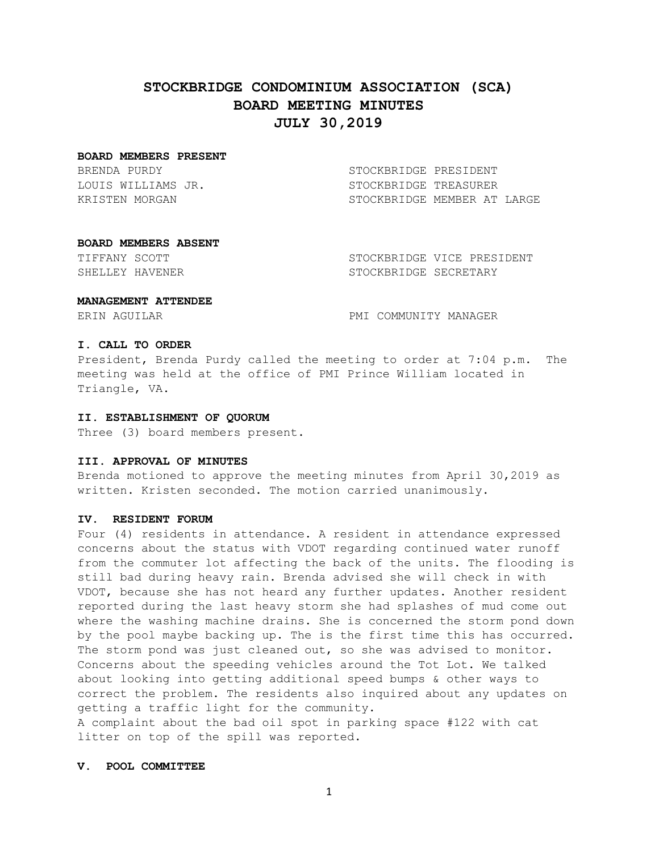# **STOCKBRIDGE CONDOMINIUM ASSOCIATION (SCA) BOARD MEETING MINUTES JULY 30,2019**

#### **BOARD MEMBERS PRESENT**

BRENDA PURDY STOCKBRIDGE PRESIDENT

LOUIS WILLIAMS JR. STOCKBRIDGE TREASURER KRISTEN MORGAN STOCKBRIDGE MEMBER AT LARGE

#### **BOARD MEMBERS ABSENT**

TIFFANY SCOTT STOCKBRIDGE VICE PRESIDENT SHELLEY HAVENER SECRETARY STOCKBRIDGE SECRETARY

#### **MANAGEMENT ATTENDEE**

ERIN AGUILAR **PMI COMMUNITY MANAGER** 

## **I. CALL TO ORDER**

President, Brenda Purdy called the meeting to order at 7:04 p.m. The meeting was held at the office of PMI Prince William located in Triangle, VA.

#### **II. ESTABLISHMENT OF QUORUM**

Three (3) board members present.

## **III. APPROVAL OF MINUTES**

Brenda motioned to approve the meeting minutes from April 30,2019 as written. Kristen seconded. The motion carried unanimously.

## **IV. RESIDENT FORUM**

Four (4) residents in attendance. A resident in attendance expressed concerns about the status with VDOT regarding continued water runoff from the commuter lot affecting the back of the units. The flooding is still bad during heavy rain. Brenda advised she will check in with VDOT, because she has not heard any further updates. Another resident reported during the last heavy storm she had splashes of mud come out where the washing machine drains. She is concerned the storm pond down by the pool maybe backing up. The is the first time this has occurred. The storm pond was just cleaned out, so she was advised to monitor. Concerns about the speeding vehicles around the Tot Lot. We talked about looking into getting additional speed bumps & other ways to correct the problem. The residents also inquired about any updates on getting a traffic light for the community.

A complaint about the bad oil spot in parking space #122 with cat litter on top of the spill was reported.

## **V. POOL COMMITTEE**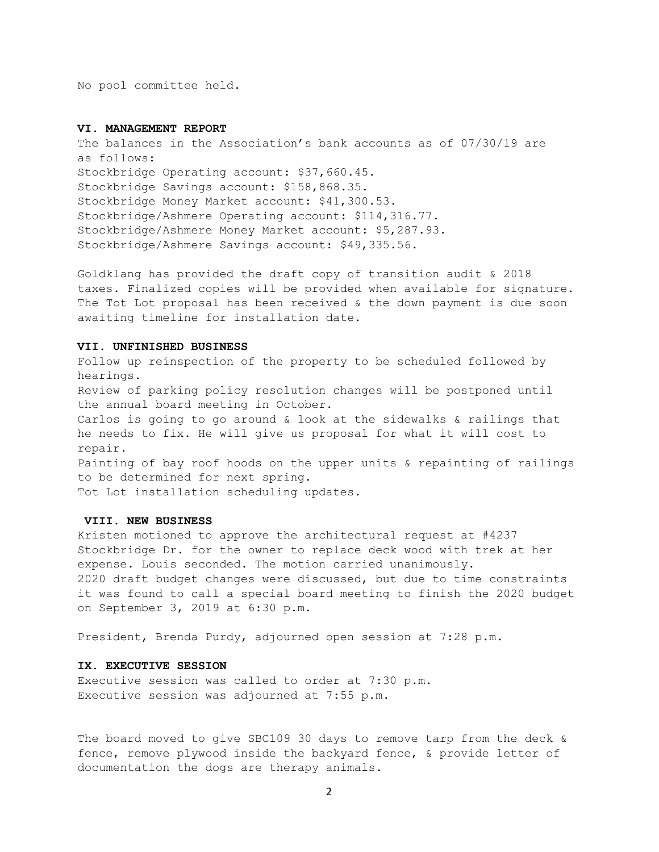No pool committee held.

## **VI. MANAGEMENT REPORT**

The balances in the Association's bank accounts as of 07/30/19 are as follows: Stockbridge Operating account: \$37,660.45. Stockbridge Savings account: \$158,868.35. Stockbridge Money Market account: \$41,300.53. Stockbridge/Ashmere Operating account: \$114,316.77. Stockbridge/Ashmere Money Market account: \$5,287.93. Stockbridge/Ashmere Savings account: \$49,335.56.

Goldklang has provided the draft copy of transition audit & 2018 taxes. Finalized copies will be provided when available for signature. The Tot Lot proposal has been received  $\&$  the down payment is due soon awaiting timeline for installation date.

#### **VII. UNFINISHED BUSINESS**

Follow up reinspection of the property to be scheduled followed by hearings. Review of parking policy resolution changes will be postponed until the annual board meeting in October. Carlos is going to go around & look at the sidewalks & railings that he needs to fix. He will give us proposal for what it will cost to repair. Painting of bay roof hoods on the upper units & repainting of railings to be determined for next spring. Tot Lot installation scheduling updates.

## **VIII. NEW BUSINESS**

Kristen motioned to approve the architectural request at #4237 Stockbridge Dr. for the owner to replace deck wood with trek at her expense. Louis seconded. The motion carried unanimously. 2020 draft budget changes were discussed, but due to time constraints it was found to call a special board meeting to finish the 2020 budget on September 3, 2019 at 6:30 p.m.

President, Brenda Purdy, adjourned open session at 7:28 p.m.

## **IX. EXECUTIVE SESSION**

Executive session was called to order at 7:30 p.m. Executive session was adjourned at 7:55 p.m.

The board moved to give SBC109 30 days to remove tarp from the deck & fence, remove plywood inside the backyard fence, & provide letter of documentation the dogs are therapy animals.